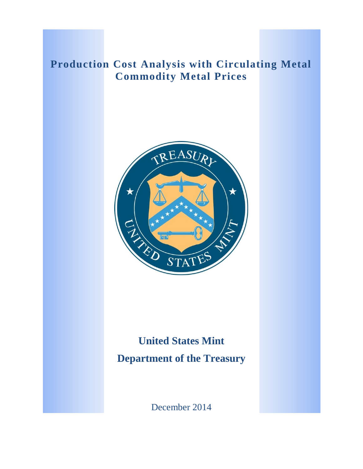## **Production Cost Analysis with Circulating Metal Commodity Metal Prices**



# **United States Mint Department of the Treasury**

December 2014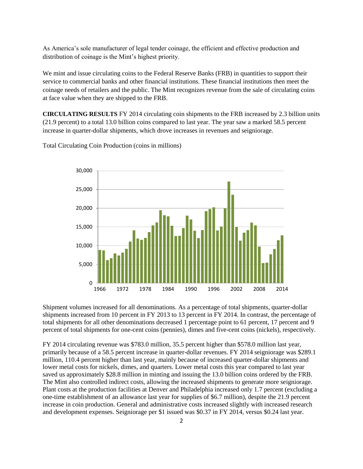As America's sole manufacturer of legal tender coinage, the efficient and effective production and distribution of coinage is the Mint's highest priority.

We mint and issue circulating coins to the Federal Reserve Banks (FRB) in quantities to support their service to commercial banks and other financial institutions. These financial institutions then meet the coinage needs of retailers and the public. The Mint recognizes revenue from the sale of circulating coins at face value when they are shipped to the FRB.

**CIRCULATING RESULTS** FY 2014 circulating coin shipments to the FRB increased by 2.3 billion units (21.9 percent) to a total 13.0 billion coins compared to last year. The year saw a marked 58.5 percent increase in quarter-dollar shipments, which drove increases in revenues and seigniorage.

Total Circulating Coin Production (coins in millions)



Shipment volumes increased for all denominations. As a percentage of total shipments, quarter-dollar shipments increased from 10 percent in FY 2013 to 13 percent in FY 2014. In contrast, the percentage of total shipments for all other denominations decreased 1 percentage point to 61 percent, 17 percent and 9 percent of total shipments for one-cent coins (pennies), dimes and five-cent coins (nickels), respectively.

FY 2014 circulating revenue was \$783.0 million, 35.5 percent higher than \$578.0 million last year, primarily because of a 58.5 percent increase in quarter-dollar revenues. FY 2014 seigniorage was \$289.1 million, 110.4 percent higher than last year, mainly because of increased quarter-dollar shipments and lower metal costs for nickels, dimes, and quarters. Lower metal costs this year compared to last year saved us approximately \$28.8 million in minting and issuing the 13.0 billion coins ordered by the FRB. The Mint also controlled indirect costs, allowing the increased shipments to generate more seigniorage. Plant costs at the production facilities at Denver and Philadelphia increased only 1.7 percent (excluding a one-time establishment of an allowance last year for supplies of \$6.7 million), despite the 21.9 percent increase in coin production. General and administrative costs increased slightly with increased research and development expenses. Seigniorage per \$1 issued was \$0.37 in FY 2014, versus \$0.24 last year.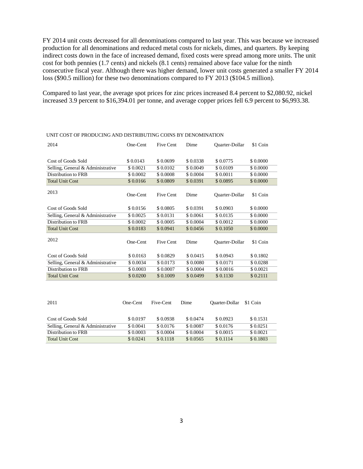FY 2014 unit costs decreased for all denominations compared to last year. This was because we increased production for all denominations and reduced metal costs for nickels, dimes, and quarters. By keeping indirect costs down in the face of increased demand, fixed costs were spread among more units. The unit cost for both pennies (1.7 cents) and nickels (8.1 cents) remained above face value for the ninth consecutive fiscal year. Although there was higher demand, lower unit costs generated a smaller FY 2014 loss (\$90.5 million) for these two denominations compared to FY 2013 (\$104.5 million).

Compared to last year, the average spot prices for zinc prices increased 8.4 percent to \$2,080.92, nickel increased 3.9 percent to \$16,394.01 per tonne, and average copper prices fell 6.9 percent to \$6,993.38.

| 2014                              | One-Cent  | Five Cent | Dime<br><b>Ouarter-Dollar</b> |                       | \$1 Coin  |  |
|-----------------------------------|-----------|-----------|-------------------------------|-----------------------|-----------|--|
|                                   |           |           |                               |                       |           |  |
| Cost of Goods Sold                | \$0.0143  | \$0.0699  | \$0.0338                      | \$0.0775              | \$ 0.0000 |  |
| Selling, General & Administrative | \$0.0021  | \$0.0102  | \$0.0049                      | \$0.0109              | \$0.0000  |  |
| Distribution to FRB               | \$ 0.0002 | \$0.0008  | \$0.0004                      | \$0.0011              | \$ 0.0000 |  |
| <b>Total Unit Cost</b>            | \$0.0166  | \$0.0809  | \$0.0391                      | \$0.0895              | \$ 0.0000 |  |
| 2013                              | One-Cent  | Five Cent | Dime                          | <b>Ouarter-Dollar</b> | \$1 Coin  |  |
| Cost of Goods Sold                | \$0.0156  | \$0.0805  | \$0.0391                      | \$0.0903              | \$ 0.0000 |  |
| Selling, General & Administrative | \$ 0.0025 | \$0.0131  | \$0.0061                      | \$0.0135              | \$0.0000  |  |
| Distribution to FRB               | \$ 0.0002 | \$0.0005  | \$0.0004                      | \$0.0012              | \$0.0000  |  |
| <b>Total Unit Cost</b>            | \$0.0183  | \$0.0941  | \$0.0456                      | \$ 0.1050             | \$ 0.0000 |  |
| 2012                              | One-Cent  | Five Cent | Dime                          | <b>Ouarter-Dollar</b> | \$1 Coin  |  |
| Cost of Goods Sold                | \$0.0163  | \$0.0829  | \$0.0415                      | \$0.0943              | \$ 0.1802 |  |
| Selling, General & Administrative | \$0.0034  | \$0.0173  | \$0.0080                      | \$0.0171              | \$0.0288  |  |
| Distribution to FRB               | \$0.0003  | \$0.0007  | \$0.0004                      | \$0.0016              | \$0.0021  |  |
| <b>Total Unit Cost</b>            | \$0.0200  | \$0.1009  | \$0.0499                      | \$0.1130              | \$0.2111  |  |

#### UNIT COST OF PRODUCING AND DISTRIBUTING COINS BY DENOMINATION

| 2011                              | One-Cent | Five-Cent | Dime      | Ouarter-Dollar | \$1 Coin  |  |  |
|-----------------------------------|----------|-----------|-----------|----------------|-----------|--|--|
|                                   |          |           |           |                |           |  |  |
|                                   |          |           |           |                |           |  |  |
| Cost of Goods Sold                | \$0.0197 | \$0.0938  | \$ 0.0474 | \$0.0923       | \$ 0.1531 |  |  |
| Selling, General & Administrative | \$0.0041 | \$0.0176  | \$0.0087  | \$0.0176       | \$0.0251  |  |  |
| Distribution to FRB               | \$0.0003 | \$0.0004  | \$ 0.0004 | \$ 0.0015      | \$0.0021  |  |  |
| <b>Total Unit Cost</b>            | \$0.0241 | \$0.1118  | \$0.0565  | \$0.1114       | \$0.1803  |  |  |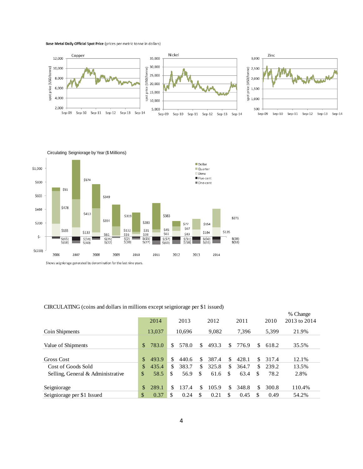Base Metal Daily Official Spot Price (prices per metric tonne in dollars)





Circulating Seigniorage by Year (\$ Millions)

#### CIRCULATING (coins and dollars in millions except seigniorage per \$1 issued)

|                                   |               | 2014   |     | 2013   |     | 2012<br>2011 |    | 2010  | % Change<br>2013 to 2014 |       |        |
|-----------------------------------|---------------|--------|-----|--------|-----|--------------|----|-------|--------------------------|-------|--------|
| Coin Shipments                    |               | 13,037 |     | 10.696 |     | 9,082        |    | 7,396 |                          | 5,399 | 21.9%  |
| Value of Shipments                | $\mathbb{S}$  | 783.0  | \$. | 578.0  | \$. | 493.3        | \$ | 776.9 | \$.                      | 618.2 | 35.5%  |
| Gross Cost                        | $\mathcal{S}$ | 493.9  | \$. | 440.6  | \$  | 387.4        | \$ | 428.1 | \$                       | 317.4 | 12.1%  |
| Cost of Goods Sold                | \$.           | 435.4  | \$. | 383.7  | \$. | 325.8        | \$ | 364.7 | \$                       | 239.2 | 13.5%  |
| Selling, General & Administrative | \$            | 58.5   | \$  | 56.9   | \$. | 61.6         | \$ | 63.4  | \$.                      | 78.2  | 2.8%   |
| Seigniorage                       | \$.           | 289.1  | \$  | 137.4  | \$  | 105.9        | \$ | 348.8 | \$                       | 300.8 | 110.4% |
| Seigniorage per \$1 Issued        | \$            | 0.37   | S   | 0.24   | \$  | 0.21         | \$ | 0.45  | \$                       | 0.49  | 54.2%  |